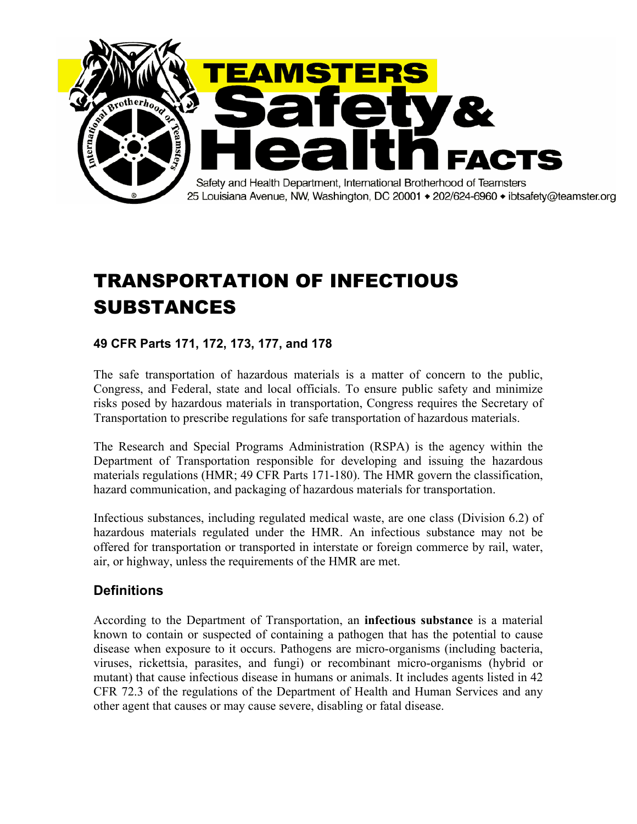

# TRANSPORTATION OF INFECTIOUS SUBSTANCES

### **49 CFR Parts 171, 172, 173, 177, and 178**

The safe transportation of hazardous materials is a matter of concern to the public, Congress, and Federal, state and local officials. To ensure public safety and minimize risks posed by hazardous materials in transportation, Congress requires the Secretary of Transportation to prescribe regulations for safe transportation of hazardous materials.

The Research and Special Programs Administration (RSPA) is the agency within the Department of Transportation responsible for developing and issuing the hazardous materials regulations (HMR; 49 CFR Parts 171-180). The HMR govern the classification, hazard communication, and packaging of hazardous materials for transportation.

Infectious substances, including regulated medical waste, are one class (Division 6.2) of hazardous materials regulated under the HMR. An infectious substance may not be offered for transportation or transported in interstate or foreign commerce by rail, water, air, or highway, unless the requirements of the HMR are met.

#### **Definitions**

According to the Department of Transportation, an **infectious substance** is a material known to contain or suspected of containing a pathogen that has the potential to cause disease when exposure to it occurs. Pathogens are micro-organisms (including bacteria, viruses, rickettsia, parasites, and fungi) or recombinant micro-organisms (hybrid or mutant) that cause infectious disease in humans or animals. It includes agents listed in 42 CFR 72.3 of the regulations of the Department of Health and Human Services and any other agent that causes or may cause severe, disabling or fatal disease.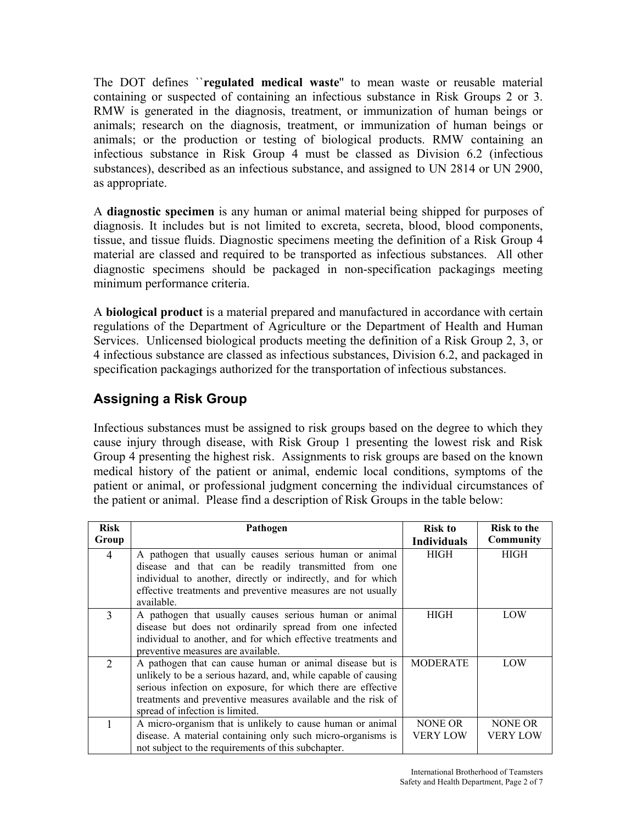The DOT defines ``**regulated medical waste**'' to mean waste or reusable material containing or suspected of containing an infectious substance in Risk Groups 2 or 3. RMW is generated in the diagnosis, treatment, or immunization of human beings or animals; research on the diagnosis, treatment, or immunization of human beings or animals; or the production or testing of biological products. RMW containing an infectious substance in Risk Group 4 must be classed as Division 6.2 (infectious substances), described as an infectious substance, and assigned to UN 2814 or UN 2900, as appropriate.

A **diagnostic specimen** is any human or animal material being shipped for purposes of diagnosis. It includes but is not limited to excreta, secreta, blood, blood components, tissue, and tissue fluids. Diagnostic specimens meeting the definition of a Risk Group 4 material are classed and required to be transported as infectious substances. All other diagnostic specimens should be packaged in non-specification packagings meeting minimum performance criteria.

A **biological product** is a material prepared and manufactured in accordance with certain regulations of the Department of Agriculture or the Department of Health and Human Services. Unlicensed biological products meeting the definition of a Risk Group 2, 3, or 4 infectious substance are classed as infectious substances, Division 6.2, and packaged in specification packagings authorized for the transportation of infectious substances.

## **Assigning a Risk Group**

Infectious substances must be assigned to risk groups based on the degree to which they cause injury through disease, with Risk Group 1 presenting the lowest risk and Risk Group 4 presenting the highest risk. Assignments to risk groups are based on the known medical history of the patient or animal, endemic local conditions, symptoms of the patient or animal, or professional judgment concerning the individual circumstances of the patient or animal. Please find a description of Risk Groups in the table below:

| <b>Risk</b>                 | Pathogen                                                       | Risk to            | <b>Risk to the</b> |
|-----------------------------|----------------------------------------------------------------|--------------------|--------------------|
| Group                       |                                                                | <b>Individuals</b> | <b>Community</b>   |
| $\overline{4}$              | A pathogen that usually causes serious human or animal         | <b>HIGH</b>        | HIGH               |
|                             | disease and that can be readily transmitted from one           |                    |                    |
|                             | individual to another, directly or indirectly, and for which   |                    |                    |
|                             | effective treatments and preventive measures are not usually   |                    |                    |
|                             | available.                                                     |                    |                    |
| $\mathcal{E}$               | A pathogen that usually causes serious human or animal         | HIGH               | LOW                |
|                             | disease but does not ordinarily spread from one infected       |                    |                    |
|                             | individual to another, and for which effective treatments and  |                    |                    |
|                             | preventive measures are available.                             |                    |                    |
| $\mathcal{D}_{\mathcal{L}}$ | A pathogen that can cause human or animal disease but is       | <b>MODERATE</b>    | LOW                |
|                             | unlikely to be a serious hazard, and, while capable of causing |                    |                    |
|                             | serious infection on exposure, for which there are effective   |                    |                    |
|                             | treatments and preventive measures available and the risk of   |                    |                    |
|                             | spread of infection is limited.                                |                    |                    |
|                             | A micro-organism that is unlikely to cause human or animal     | NONE OR            | NONE OR            |
|                             | disease. A material containing only such micro-organisms is    | VERY LOW           | VERY LOW           |
|                             | not subject to the requirements of this subchapter.            |                    |                    |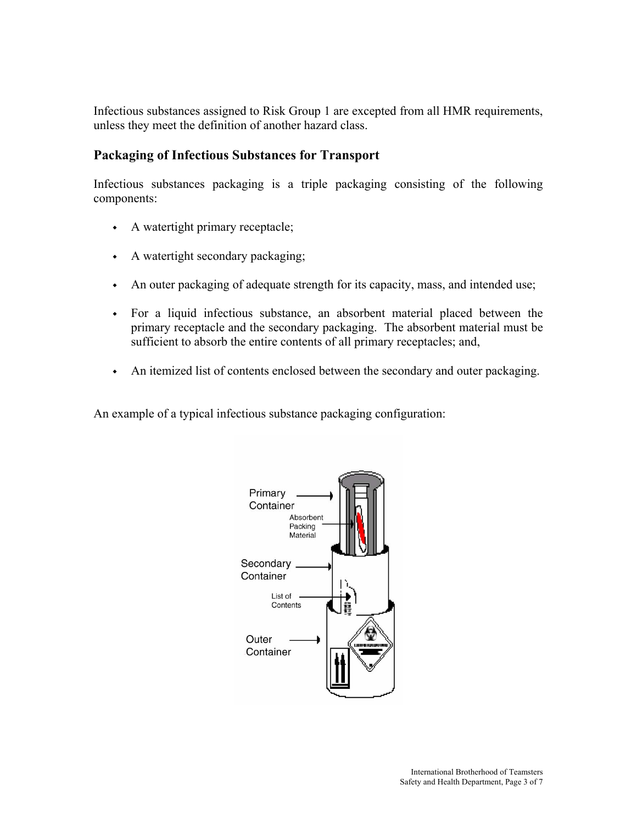Infectious substances assigned to Risk Group 1 are excepted from all HMR requirements, unless they meet the definition of another hazard class.

#### **Packaging of Infectious Substances for Transport**

Infectious substances packaging is a triple packaging consisting of the following components:

- ◆ A watertight primary receptacle;
- ◆ A watertight secondary packaging;
- An outer packaging of adequate strength for its capacity, mass, and intended use;
- For a liquid infectious substance, an absorbent material placed between the primary receptacle and the secondary packaging. The absorbent material must be sufficient to absorb the entire contents of all primary receptacles; and,
- An itemized list of contents enclosed between the secondary and outer packaging.

An example of a typical infectious substance packaging configuration:

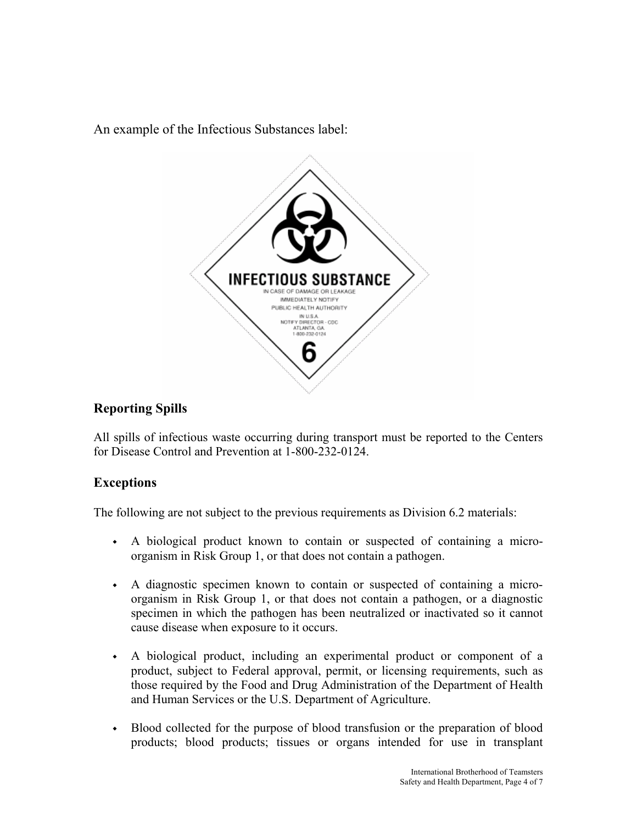An example of the Infectious Substances label:



## **Reporting Spills**

All spills of infectious waste occurring during transport must be reported to the Centers for Disease Control and Prevention at 1-800-232-0124.

## **Exceptions**

The following are not subject to the previous requirements as Division 6.2 materials:

- ◆ A biological product known to contain or suspected of containing a microorganism in Risk Group 1, or that does not contain a pathogen.
- ◆ A diagnostic specimen known to contain or suspected of containing a microorganism in Risk Group 1, or that does not contain a pathogen, or a diagnostic specimen in which the pathogen has been neutralized or inactivated so it cannot cause disease when exposure to it occurs.
- ◆ A biological product, including an experimental product or component of a product, subject to Federal approval, permit, or licensing requirements, such as those required by the Food and Drug Administration of the Department of Health and Human Services or the U.S. Department of Agriculture.
- Blood collected for the purpose of blood transfusion or the preparation of blood products; blood products; tissues or organs intended for use in transplant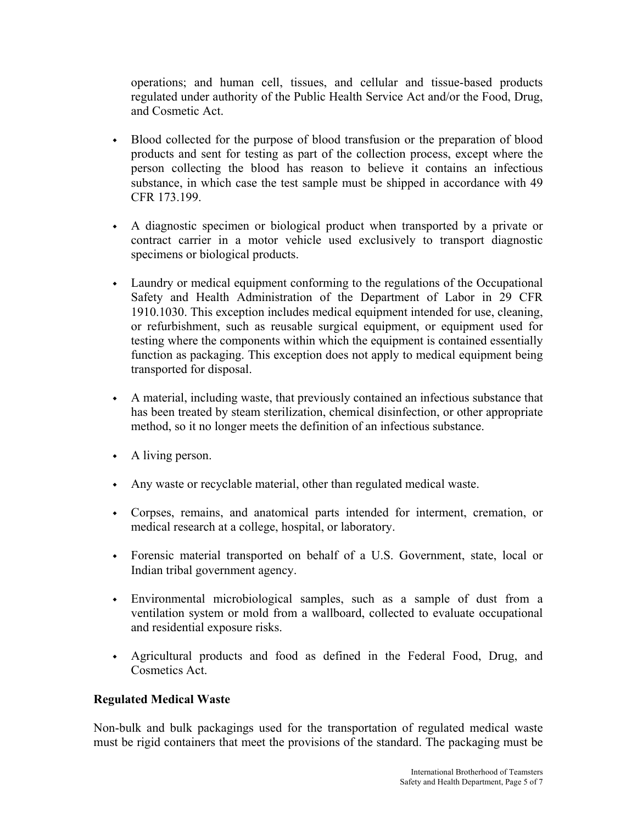operations; and human cell, tissues, and cellular and tissue-based products regulated under authority of the Public Health Service Act and/or the Food, Drug, and Cosmetic Act.

- Blood collected for the purpose of blood transfusion or the preparation of blood products and sent for testing as part of the collection process, except where the person collecting the blood has reason to believe it contains an infectious substance, in which case the test sample must be shipped in accordance with 49 CFR 173.199.
- ◆ A diagnostic specimen or biological product when transported by a private or contract carrier in a motor vehicle used exclusively to transport diagnostic specimens or biological products.
- ◆ Laundry or medical equipment conforming to the regulations of the Occupational Safety and Health Administration of the Department of Labor in 29 CFR 1910.1030. This exception includes medical equipment intended for use, cleaning, or refurbishment, such as reusable surgical equipment, or equipment used for testing where the components within which the equipment is contained essentially function as packaging. This exception does not apply to medical equipment being transported for disposal.
- ◆ A material, including waste, that previously contained an infectious substance that has been treated by steam sterilization, chemical disinfection, or other appropriate method, so it no longer meets the definition of an infectious substance.
- ◆ A living person.
- ◆ Any waste or recyclable material, other than regulated medical waste.
- ◆ Corpses, remains, and anatomical parts intended for interment, cremation, or medical research at a college, hospital, or laboratory.
- ◆ Forensic material transported on behalf of a U.S. Government, state, local or Indian tribal government agency.
- Environmental microbiological samples, such as a sample of dust from a ventilation system or mold from a wallboard, collected to evaluate occupational and residential exposure risks.
- Agricultural products and food as defined in the Federal Food, Drug, and Cosmetics Act.

#### **Regulated Medical Waste**

Non-bulk and bulk packagings used for the transportation of regulated medical waste must be rigid containers that meet the provisions of the standard. The packaging must be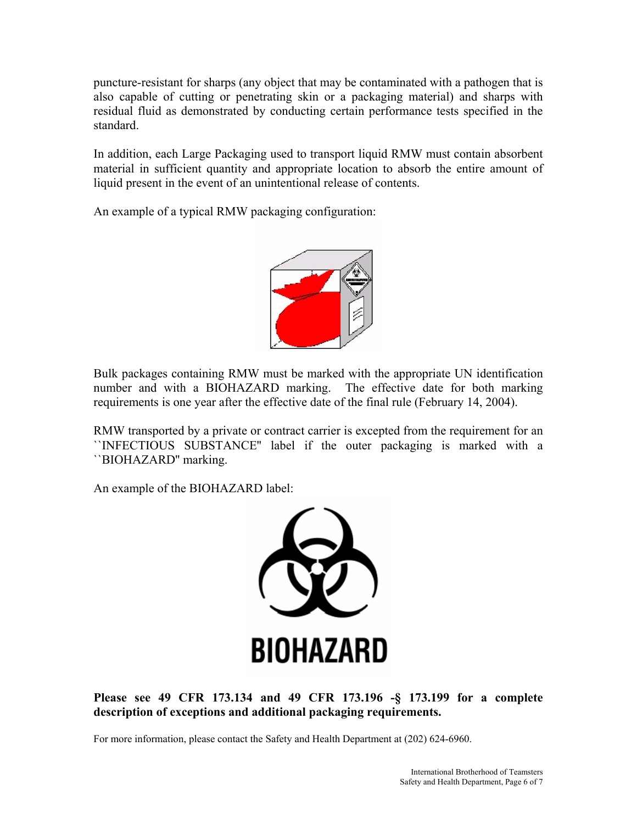puncture-resistant for sharps (any object that may be contaminated with a pathogen that is also capable of cutting or penetrating skin or a packaging material) and sharps with residual fluid as demonstrated by conducting certain performance tests specified in the standard.

In addition, each Large Packaging used to transport liquid RMW must contain absorbent material in sufficient quantity and appropriate location to absorb the entire amount of liquid present in the event of an unintentional release of contents.

An example of a typical RMW packaging configuration:



Bulk packages containing RMW must be marked with the appropriate UN identification number and with a BIOHAZARD marking. The effective date for both marking requirements is one year after the effective date of the final rule (February 14, 2004).

RMW transported by a private or contract carrier is excepted from the requirement for an ``INFECTIOUS SUBSTANCE'' label if the outer packaging is marked with a ``BIOHAZARD'' marking.

An example of the BIOHAZARD label:



**Please see 49 CFR 173.134 and 49 CFR 173.196 -§ 173.199 for a complete description of exceptions and additional packaging requirements.** 

For more information, please contact the Safety and Health Department at (202) 624-6960.